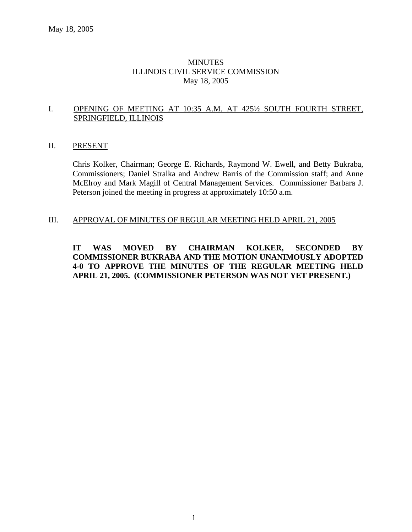# MINUTES ILLINOIS CIVIL SERVICE COMMISSION May 18, 2005

# I. OPENING OF MEETING AT 10:35 A.M. AT 425½ SOUTH FOURTH STREET, SPRINGFIELD, ILLINOIS

## II. PRESENT

Chris Kolker, Chairman; George E. Richards, Raymond W. Ewell, and Betty Bukraba, Commissioners; Daniel Stralka and Andrew Barris of the Commission staff; and Anne McElroy and Mark Magill of Central Management Services. Commissioner Barbara J. Peterson joined the meeting in progress at approximately 10:50 a.m.

## III. APPROVAL OF MINUTES OF REGULAR MEETING HELD APRIL 21, 2005

**IT WAS MOVED BY CHAIRMAN KOLKER, SECONDED BY COMMISSIONER BUKRABA AND THE MOTION UNANIMOUSLY ADOPTED 4-0 TO APPROVE THE MINUTES OF THE REGULAR MEETING HELD APRIL 21, 2005. (COMMISSIONER PETERSON WAS NOT YET PRESENT.)**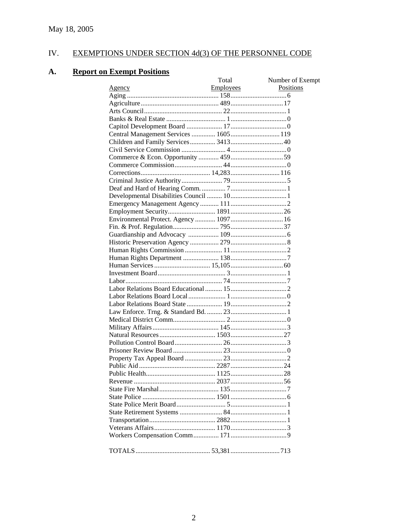#### IV. **EXEMPTIONS UNDER SECTION 4d(3) OF THE PERSONNEL CODE**

#### **A. Report on Exempt Positions**

| Number of Exempt<br>Employees<br>Positions<br><b>Agency</b><br>Central Management Services  1605 119<br>Environmental Protect. Agency  1097  16 |
|-------------------------------------------------------------------------------------------------------------------------------------------------|
|                                                                                                                                                 |
|                                                                                                                                                 |
|                                                                                                                                                 |
|                                                                                                                                                 |
|                                                                                                                                                 |
|                                                                                                                                                 |
|                                                                                                                                                 |
|                                                                                                                                                 |
|                                                                                                                                                 |
|                                                                                                                                                 |
|                                                                                                                                                 |
|                                                                                                                                                 |
|                                                                                                                                                 |
|                                                                                                                                                 |
|                                                                                                                                                 |
|                                                                                                                                                 |
|                                                                                                                                                 |
|                                                                                                                                                 |
|                                                                                                                                                 |
|                                                                                                                                                 |
|                                                                                                                                                 |
|                                                                                                                                                 |
|                                                                                                                                                 |
|                                                                                                                                                 |
|                                                                                                                                                 |
|                                                                                                                                                 |
|                                                                                                                                                 |
|                                                                                                                                                 |
|                                                                                                                                                 |
|                                                                                                                                                 |
|                                                                                                                                                 |
|                                                                                                                                                 |
|                                                                                                                                                 |
|                                                                                                                                                 |
|                                                                                                                                                 |
|                                                                                                                                                 |
|                                                                                                                                                 |
|                                                                                                                                                 |
|                                                                                                                                                 |
|                                                                                                                                                 |
|                                                                                                                                                 |
|                                                                                                                                                 |
|                                                                                                                                                 |
|                                                                                                                                                 |
|                                                                                                                                                 |
|                                                                                                                                                 |
|                                                                                                                                                 |
|                                                                                                                                                 |
|                                                                                                                                                 |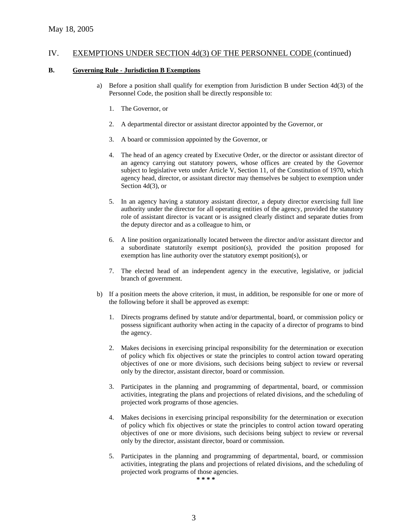#### **B. Governing Rule - Jurisdiction B Exemptions**

- a) Before a position shall qualify for exemption from Jurisdiction B under Section 4d(3) of the Personnel Code, the position shall be directly responsible to:
	- 1. The Governor, or
	- 2. A departmental director or assistant director appointed by the Governor, or
	- 3. A board or commission appointed by the Governor, or
	- 4. The head of an agency created by Executive Order, or the director or assistant director of an agency carrying out statutory powers, whose offices are created by the Governor subject to legislative veto under Article V, Section 11, of the Constitution of 1970, which agency head, director, or assistant director may themselves be subject to exemption under Section 4d(3), or
	- 5. In an agency having a statutory assistant director, a deputy director exercising full line authority under the director for all operating entities of the agency, provided the statutory role of assistant director is vacant or is assigned clearly distinct and separate duties from the deputy director and as a colleague to him, or
	- 6. A line position organizationally located between the director and/or assistant director and a subordinate statutorily exempt position(s), provided the position proposed for exemption has line authority over the statutory exempt position(s), or
	- 7. The elected head of an independent agency in the executive, legislative, or judicial branch of government.
- b) If a position meets the above criterion, it must, in addition, be responsible for one or more of the following before it shall be approved as exempt:
	- 1. Directs programs defined by statute and/or departmental, board, or commission policy or possess significant authority when acting in the capacity of a director of programs to bind the agency.
	- 2. Makes decisions in exercising principal responsibility for the determination or execution of policy which fix objectives or state the principles to control action toward operating objectives of one or more divisions, such decisions being subject to review or reversal only by the director, assistant director, board or commission.
	- 3. Participates in the planning and programming of departmental, board, or commission activities, integrating the plans and projections of related divisions, and the scheduling of projected work programs of those agencies.
	- 4. Makes decisions in exercising principal responsibility for the determination or execution of policy which fix objectives or state the principles to control action toward operating objectives of one or more divisions, such decisions being subject to review or reversal only by the director, assistant director, board or commission.
	- 5. Participates in the planning and programming of departmental, board, or commission activities, integrating the plans and projections of related divisions, and the scheduling of projected work programs of those agencies.

**\* \* \* \***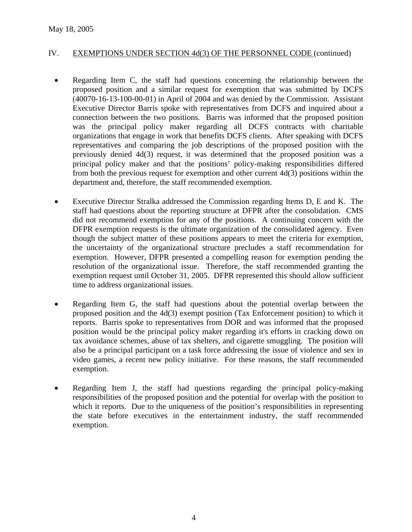- Regarding Item C, the staff had questions concerning the relationship between the proposed position and a similar request for exemption that was submitted by DCFS (40070-16-13-100-00-01) in April of 2004 and was denied by the Commission. Assistant Executive Director Barris spoke with representatives from DCFS and inquired about a connection between the two positions. Barris was informed that the proposed position was the principal policy maker regarding all DCFS contracts with charitable organizations that engage in work that benefits DCFS clients. After speaking with DCFS representatives and comparing the job descriptions of the proposed position with the previously denied 4d(3) request, it was determined that the proposed position was a principal policy maker and that the positions' policy-making responsibilities differed from both the previous request for exemption and other current 4d(3) positions within the department and, therefore, the staff recommended exemption.
- Executive Director Stralka addressed the Commission regarding Items D, E and K. The staff had questions about the reporting structure at DFPR after the consolidation. CMS did not recommend exemption for any of the positions. A continuing concern with the DFPR exemption requests is the ultimate organization of the consolidated agency. Even though the subject matter of these positions appears to meet the criteria for exemption, the uncertainty of the organizational structure precludes a staff recommendation for exemption. However, DFPR presented a compelling reason for exemption pending the resolution of the organizational issue. Therefore, the staff recommended granting the exemption request until October 31, 2005. DFPR represented this should allow sufficient time to address organizational issues.
- Regarding Item G, the staff had questions about the potential overlap between the proposed position and the 4d(3) exempt position (Tax Enforcement position) to which it reports. Barris spoke to representatives from DOR and was informed that the proposed position would be the principal policy maker regarding it's efforts in cracking down on tax avoidance schemes, abuse of tax shelters, and cigarette smuggling. The position will also be a principal participant on a task force addressing the issue of violence and sex in video games, a recent new policy initiative. For these reasons, the staff recommended exemption.
- Regarding Item J, the staff had questions regarding the principal policy-making responsibilities of the proposed position and the potential for overlap with the position to which it reports. Due to the uniqueness of the position's responsibilities in representing the state before executives in the entertainment industry, the staff recommended exemption.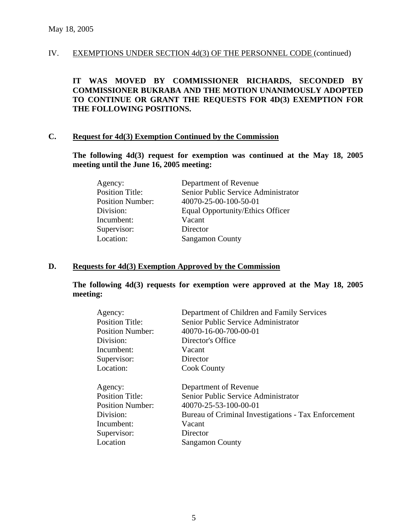**IT WAS MOVED BY COMMISSIONER RICHARDS, SECONDED BY COMMISSIONER BUKRABA AND THE MOTION UNANIMOUSLY ADOPTED TO CONTINUE OR GRANT THE REQUESTS FOR 4D(3) EXEMPTION FOR THE FOLLOWING POSITIONS.**

#### **C. Request for 4d(3) Exemption Continued by the Commission**

**The following 4d(3) request for exemption was continued at the May 18, 2005 meeting until the June 16, 2005 meeting:** 

| Agency:                 | Department of Revenue               |
|-------------------------|-------------------------------------|
| <b>Position Title:</b>  | Senior Public Service Administrator |
| <b>Position Number:</b> | 40070-25-00-100-50-01               |
| Division:               | Equal Opportunity/Ethics Officer    |
| Incumbent:              | Vacant                              |
| Supervisor:             | Director                            |
| Location:               | <b>Sangamon County</b>              |

#### **D. Requests for 4d(3) Exemption Approved by the Commission**

**The following 4d(3) requests for exemption were approved at the May 18, 2005 meeting:** 

| Agency:                 | Department of Children and Family Services          |
|-------------------------|-----------------------------------------------------|
| <b>Position Title:</b>  | Senior Public Service Administrator                 |
| <b>Position Number:</b> | 40070-16-00-700-00-01                               |
| Division:               | Director's Office                                   |
| Incumbent:              | Vacant                                              |
| Supervisor:             | Director                                            |
| Location:               | <b>Cook County</b>                                  |
| Agency:                 | Department of Revenue                               |
| <b>Position Title:</b>  | Senior Public Service Administrator                 |
| <b>Position Number:</b> | 40070-25-53-100-00-01                               |
| Division:               | Bureau of Criminal Investigations - Tax Enforcement |
| Incumbent:              | Vacant                                              |
| Supervisor:             | Director                                            |
| Location                | <b>Sangamon County</b>                              |
|                         |                                                     |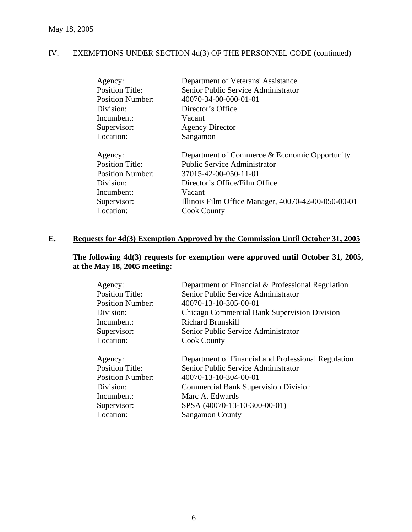| Department of Veterans' Assistance                  |
|-----------------------------------------------------|
| Senior Public Service Administrator                 |
| 40070-34-00-000-01-01                               |
| Director's Office                                   |
| Vacant                                              |
| <b>Agency Director</b>                              |
| Sangamon                                            |
| Department of Commerce & Economic Opportunity       |
| <b>Public Service Administrator</b>                 |
| 37015-42-00-050-11-01                               |
| Director's Office/Film Office                       |
| Vacant                                              |
| Illinois Film Office Manager, 40070-42-00-050-00-01 |
|                                                     |
|                                                     |

# **E. Requests for 4d(3) Exemption Approved by the Commission Until October 31, 2005**

# **The following 4d(3) requests for exemption were approved until October 31, 2005, at the May 18, 2005 meeting:**

| Agency:                 | Department of Financial & Professional Regulation   |
|-------------------------|-----------------------------------------------------|
| <b>Position Title:</b>  | Senior Public Service Administrator                 |
| <b>Position Number:</b> | 40070-13-10-305-00-01                               |
| Division:               | Chicago Commercial Bank Supervision Division        |
| Incumbent:              | Richard Brunskill                                   |
| Supervisor:             | Senior Public Service Administrator                 |
| Location:               | <b>Cook County</b>                                  |
|                         |                                                     |
| Agency:                 | Department of Financial and Professional Regulation |
| <b>Position Title:</b>  | Senior Public Service Administrator                 |
| <b>Position Number:</b> | 40070-13-10-304-00-01                               |
| Division:               | <b>Commercial Bank Supervision Division</b>         |
| Incumbent:              | Marc A. Edwards                                     |
| Supervisor:             | SPSA (40070-13-10-300-00-01)                        |
| Location:               | <b>Sangamon County</b>                              |
|                         |                                                     |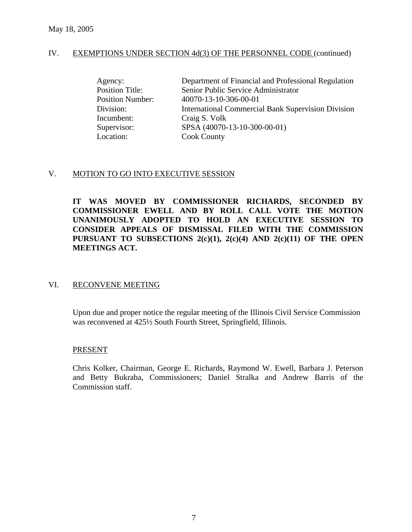| Agency:                 | Department of Financial and Professional Regulation       |
|-------------------------|-----------------------------------------------------------|
| <b>Position Title:</b>  | Senior Public Service Administrator                       |
| <b>Position Number:</b> | 40070-13-10-306-00-01                                     |
| Division:               | <b>International Commercial Bank Supervision Division</b> |
| Incumbent:              | Craig S. Volk                                             |
| Supervisor:             | SPSA (40070-13-10-300-00-01)                              |
| Location:               | <b>Cook County</b>                                        |

# V. MOTION TO GO INTO EXECUTIVE SESSION

**IT WAS MOVED BY COMMISSIONER RICHARDS, SECONDED BY COMMISSIONER EWELL AND BY ROLL CALL VOTE THE MOTION UNANIMOUSLY ADOPTED TO HOLD AN EXECUTIVE SESSION TO CONSIDER APPEALS OF DISMISSAL FILED WITH THE COMMISSION PURSUANT TO SUBSECTIONS 2(c)(1), 2(c)(4) AND 2(c)(11) OF THE OPEN MEETINGS ACT.** 

## VI. RECONVENE MEETING

Upon due and proper notice the regular meeting of the Illinois Civil Service Commission was reconvened at 425½ South Fourth Street, Springfield, Illinois.

## PRESENT

Chris Kolker, Chairman, George E. Richards, Raymond W. Ewell, Barbara J. Peterson and Betty Bukraba, Commissioners; Daniel Stralka and Andrew Barris of the Commission staff.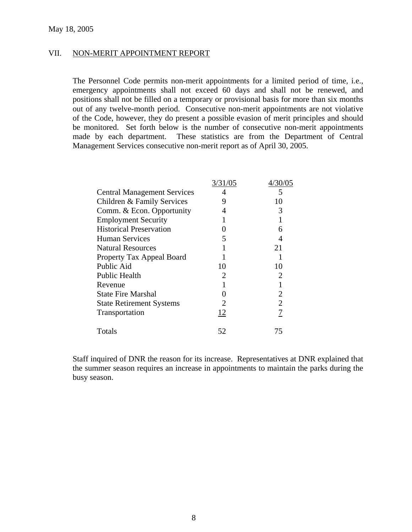#### VII. NON-MERIT APPOINTMENT REPORT

The Personnel Code permits non-merit appointments for a limited period of time, i.e., emergency appointments shall not exceed 60 days and shall not be renewed, and positions shall not be filled on a temporary or provisional basis for more than six months out of any twelve-month period. Consecutive non-merit appointments are not violative of the Code, however, they do present a possible evasion of merit principles and should be monitored. Set forth below is the number of consecutive non-merit appointments made by each department. These statistics are from the Department of Central Management Services consecutive non-merit report as of April 30, 2005.

|                                    | 3/31/05 | 4/30/05 |
|------------------------------------|---------|---------|
| <b>Central Management Services</b> |         | 5       |
| Children & Family Services         | 9       | 10      |
| Comm. & Econ. Opportunity          |         | 3       |
| <b>Employment Security</b>         |         |         |
| <b>Historical Preservation</b>     |         | 6       |
| <b>Human Services</b>              | 5       | 4       |
| <b>Natural Resources</b>           |         | 21      |
| Property Tax Appeal Board          |         |         |
| Public Aid                         | 10      | 10      |
| <b>Public Health</b>               |         | 2       |
| Revenue                            |         |         |
| <b>State Fire Marshal</b>          |         | 2       |
| <b>State Retirement Systems</b>    |         | 2       |
| Transportation                     | 12      | 7       |
| Totals                             | 52      | 75      |

 Staff inquired of DNR the reason for its increase. Representatives at DNR explained that the summer season requires an increase in appointments to maintain the parks during the busy season.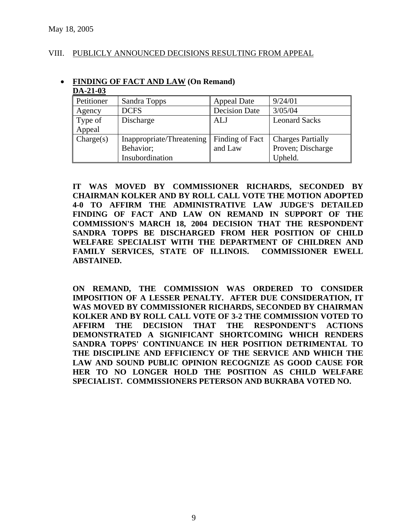# VIII. PUBLICLY ANNOUNCED DECISIONS RESULTING FROM APPEAL

| DA-21-03   |                           |                      |                          |
|------------|---------------------------|----------------------|--------------------------|
| Petitioner | Sandra Topps              | Appeal Date          | 9/24/01                  |
| Agency     | <b>DCFS</b>               | <b>Decision Date</b> | 3/05/04                  |
| Type of    | Discharge                 | ALJ                  | <b>Leonard Sacks</b>     |
| Appeal     |                           |                      |                          |
| Change(s)  | Inappropriate/Threatening | Finding of Fact      | <b>Charges Partially</b> |
|            | Behavior;                 | and Law              | Proven; Discharge        |
|            | Insubordination           |                      | Upheld.                  |

# • **FINDING OF FACT AND LAW (On Remand)**

**IT WAS MOVED BY COMMISSIONER RICHARDS, SECONDED BY CHAIRMAN KOLKER AND BY ROLL CALL VOTE THE MOTION ADOPTED 4-0 TO AFFIRM THE ADMINISTRATIVE LAW JUDGE'S DETAILED FINDING OF FACT AND LAW ON REMAND IN SUPPORT OF THE COMMISSION'S MARCH 18, 2004 DECISION THAT THE RESPONDENT SANDRA TOPPS BE DISCHARGED FROM HER POSITION OF CHILD WELFARE SPECIALIST WITH THE DEPARTMENT OF CHILDREN AND FAMILY SERVICES, STATE OF ILLINOIS. COMMISSIONER EWELL ABSTAINED.** 

**ON REMAND, THE COMMISSION WAS ORDERED TO CONSIDER IMPOSITION OF A LESSER PENALTY. AFTER DUE CONSIDERATION, IT WAS MOVED BY COMMISSIONER RICHARDS, SECONDED BY CHAIRMAN KOLKER AND BY ROLL CALL VOTE OF 3-2 THE COMMISSION VOTED TO AFFIRM THE DECISION THAT THE RESPONDENT'S ACTIONS DEMONSTRATED A SIGNIFICANT SHORTCOMING WHICH RENDERS SANDRA TOPPS' CONTINUANCE IN HER POSITION DETRIMENTAL TO THE DISCIPLINE AND EFFICIENCY OF THE SERVICE AND WHICH THE LAW AND SOUND PUBLIC OPINION RECOGNIZE AS GOOD CAUSE FOR HER TO NO LONGER HOLD THE POSITION AS CHILD WELFARE SPECIALIST. COMMISSIONERS PETERSON AND BUKRABA VOTED NO.**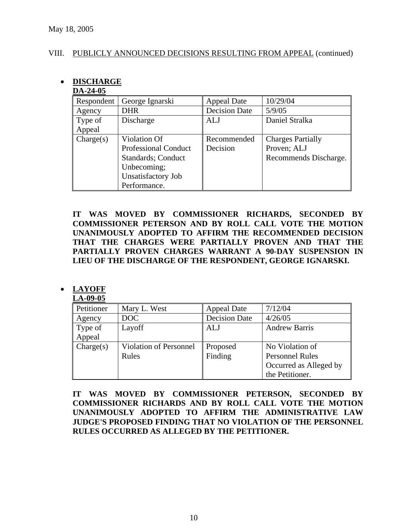# VIII. PUBLICLY ANNOUNCED DECISIONS RESULTING FROM APPEAL (continued)

#### • **DISCHARGE DA-24-05**

| <i>DIS-2</i> 7-VJ |                             |                      |                          |
|-------------------|-----------------------------|----------------------|--------------------------|
| Respondent        | George Ignarski             | <b>Appeal Date</b>   | 10/29/04                 |
| Agency            | <b>DHR</b>                  | <b>Decision Date</b> | 5/9/05                   |
| Type of           | Discharge                   | <b>ALJ</b>           | Daniel Stralka           |
| Appeal            |                             |                      |                          |
| Change(s)         | Violation Of                | Recommended          | <b>Charges Partially</b> |
|                   | <b>Professional Conduct</b> | Decision             | Proven; ALJ              |
|                   | <b>Standards</b> ; Conduct  |                      | Recommends Discharge.    |
|                   | Unbecoming;                 |                      |                          |
|                   | Unsatisfactory Job          |                      |                          |
|                   | Performance.                |                      |                          |

**IT WAS MOVED BY COMMISSIONER RICHARDS, SECONDED BY COMMISSIONER PETERSON AND BY ROLL CALL VOTE THE MOTION UNANIMOUSLY ADOPTED TO AFFIRM THE RECOMMENDED DECISION THAT THE CHARGES WERE PARTIALLY PROVEN AND THAT THE PARTIALLY PROVEN CHARGES WARRANT A 90-DAY SUSPENSION IN LIEU OF THE DISCHARGE OF THE RESPONDENT, GEORGE IGNARSKI.** 

# • **LAYOFF**

#### **LA-09-05** Petitioner | Mary L. West | Appeal Date | 7/12/04 Agency DOC Decision Date 4/26/05 Type of Appeal Layoff **ALJ** Andrew Barris Charge(s) Violation of Personnel Rules Proposed Finding No Violation of Personnel Rules Occurred as Alleged by the Petitioner.

**IT WAS MOVED BY COMMISSIONER PETERSON, SECONDED BY COMMISSIONER RICHARDS AND BY ROLL CALL VOTE THE MOTION UNANIMOUSLY ADOPTED TO AFFIRM THE ADMINISTRATIVE LAW JUDGE'S PROPOSED FINDING THAT NO VIOLATION OF THE PERSONNEL RULES OCCURRED AS ALLEGED BY THE PETITIONER.** 

10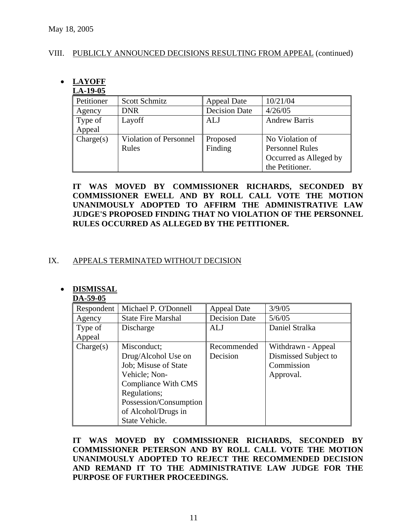# VIII. PUBLICLY ANNOUNCED DECISIONS RESULTING FROM APPEAL (continued)

# • **LAYOFF**

# **LA-19-05**

| Petitioner | Scott Schmitz          | <b>Appeal Date</b>   | 10/21/04               |
|------------|------------------------|----------------------|------------------------|
| Agency     | <b>DNR</b>             | <b>Decision Date</b> | 4/26/05                |
| Type of    | Layoff                 | ALJ                  | <b>Andrew Barris</b>   |
| Appeal     |                        |                      |                        |
| Change(s)  | Violation of Personnel | Proposed             | No Violation of        |
|            | Rules                  | Finding              | <b>Personnel Rules</b> |
|            |                        |                      | Occurred as Alleged by |
|            |                        |                      | the Petitioner.        |

**IT WAS MOVED BY COMMISSIONER RICHARDS, SECONDED BY COMMISSIONER EWELL AND BY ROLL CALL VOTE THE MOTION UNANIMOUSLY ADOPTED TO AFFIRM THE ADMINISTRATIVE LAW JUDGE'S PROPOSED FINDING THAT NO VIOLATION OF THE PERSONNEL RULES OCCURRED AS ALLEGED BY THE PETITIONER.** 

# IX. APPEALS TERMINATED WITHOUT DECISION

# • **DISMISSAL**

|  | ишими    |  |  |
|--|----------|--|--|
|  | DA 50.05 |  |  |

| レバーンノーソン   |                           |                      |                      |
|------------|---------------------------|----------------------|----------------------|
| Respondent | Michael P. O'Donnell      | <b>Appeal Date</b>   | 3/9/05               |
| Agency     | <b>State Fire Marshal</b> | <b>Decision Date</b> | 5/6/05               |
| Type of    | Discharge                 | <b>ALJ</b>           | Daniel Stralka       |
| Appeal     |                           |                      |                      |
| Change(s)  | Misconduct;               | Recommended          | Withdrawn - Appeal   |
|            | Drug/Alcohol Use on       | Decision             | Dismissed Subject to |
|            | Job; Misuse of State      |                      | Commission           |
|            | Vehicle; Non-             |                      | Approval.            |
|            | Compliance With CMS       |                      |                      |
|            | Regulations;              |                      |                      |
|            | Possession/Consumption    |                      |                      |
|            | of Alcohol/Drugs in       |                      |                      |
|            | State Vehicle.            |                      |                      |

**IT WAS MOVED BY COMMISSIONER RICHARDS, SECONDED BY COMMISSIONER PETERSON AND BY ROLL CALL VOTE THE MOTION UNANIMOUSLY ADOPTED TO REJECT THE RECOMMENDED DECISION AND REMAND IT TO THE ADMINISTRATIVE LAW JUDGE FOR THE PURPOSE OF FURTHER PROCEEDINGS.**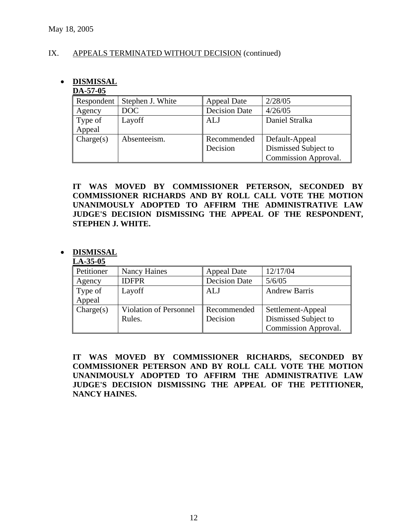# IX. APPEALS TERMINATED WITHOUT DECISION (continued)

# • **DISMISSAL**

# **DA-57-05**

| Respondent | Stephen J. White | <b>Appeal Date</b>   | 2/28/05              |
|------------|------------------|----------------------|----------------------|
| Agency     | DOC              | <b>Decision Date</b> | 4/26/05              |
| Type of    | Layoff           | <b>ALJ</b>           | Daniel Stralka       |
| Appeal     |                  |                      |                      |
| Change(s)  | Absenteeism.     | Recommended          | Default-Appeal       |
|            |                  | Decision             | Dismissed Subject to |
|            |                  |                      | Commission Approval. |

**IT WAS MOVED BY COMMISSIONER PETERSON, SECONDED BY COMMISSIONER RICHARDS AND BY ROLL CALL VOTE THE MOTION UNANIMOUSLY ADOPTED TO AFFIRM THE ADMINISTRATIVE LAW JUDGE'S DECISION DISMISSING THE APPEAL OF THE RESPONDENT, STEPHEN J. WHITE.** 

# • **DISMISSAL**

#### **LA-35-05**

| Petitioner | Nancy Haines           | <b>Appeal Date</b>   | 12/17/04             |
|------------|------------------------|----------------------|----------------------|
| Agency     | <b>IDFPR</b>           | <b>Decision Date</b> | 5/6/05               |
| Type of    | Layoff                 | ALJ                  | <b>Andrew Barris</b> |
| Appeal     |                        |                      |                      |
| Change(s)  | Violation of Personnel | Recommended          | Settlement-Appeal    |
|            | Rules.                 | Decision             | Dismissed Subject to |
|            |                        |                      | Commission Approval. |

**IT WAS MOVED BY COMMISSIONER RICHARDS, SECONDED BY COMMISSIONER PETERSON AND BY ROLL CALL VOTE THE MOTION UNANIMOUSLY ADOPTED TO AFFIRM THE ADMINISTRATIVE LAW JUDGE'S DECISION DISMISSING THE APPEAL OF THE PETITIONER, NANCY HAINES.**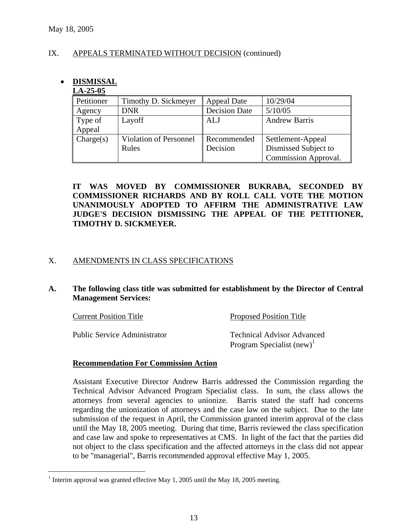$\overline{a}$ 

# IX. APPEALS TERMINATED WITHOUT DECISION (continued)

# • **DISMISSAL**

# **LA-25-05**

| Petitioner | Timothy D. Sickmeyer          | <b>Appeal Date</b>   | 10/29/04             |
|------------|-------------------------------|----------------------|----------------------|
| Agency     | <b>DNR</b>                    | <b>Decision Date</b> | 5/10/05              |
| Type of    | Layoff                        | <b>ALJ</b>           | <b>Andrew Barris</b> |
| Appeal     |                               |                      |                      |
| Change(s)  | <b>Violation of Personnel</b> | Recommended          | Settlement-Appeal    |
|            | Rules                         | Decision             | Dismissed Subject to |
|            |                               |                      | Commission Approval. |

# **IT WAS MOVED BY COMMISSIONER BUKRABA, SECONDED BY COMMISSIONER RICHARDS AND BY ROLL CALL VOTE THE MOTION UNANIMOUSLY ADOPTED TO AFFIRM THE ADMINISTRATIVE LAW JUDGE'S DECISION DISMISSING THE APPEAL OF THE PETITIONER, TIMOTHY D. SICKMEYER.**

# X. AMENDMENTS IN CLASS SPECIFICATIONS

# **A. The following class title was submitted for establishment by the Director of Central Management Services:**

| <b>Current Position Title</b>       | <b>Proposed Position Title</b>    |
|-------------------------------------|-----------------------------------|
| <b>Public Service Administrator</b> | <b>Technical Advisor Advanced</b> |
|                                     | Program Specialist $(new)^1$      |

## **Recommendation For Commission Action**

Assistant Executive Director Andrew Barris addressed the Commission regarding the Technical Advisor Advanced Program Specialist class. In sum, the class allows the attorneys from several agencies to unionize. Barris stated the staff had concerns regarding the unionization of attorneys and the case law on the subject. Due to the late submission of the request in April, the Commission granted interim approval of the class until the May 18, 2005 meeting. During that time, Barris reviewed the class specification and case law and spoke to representatives at CMS. In light of the fact that the parties did not object to the class specification and the affected attorneys in the class did not appear to be "managerial", Barris recommended approval effective May 1, 2005.

<sup>&</sup>lt;sup>1</sup> Interim approval was granted effective May 1, 2005 until the May 18, 2005 meeting.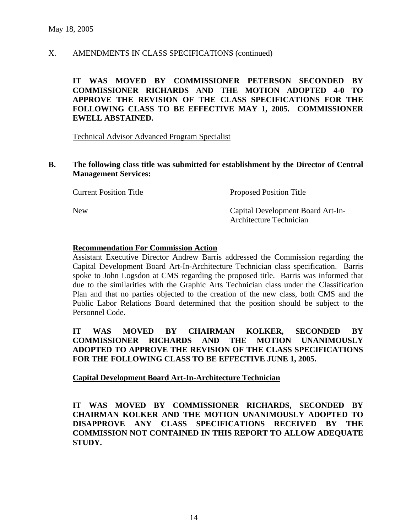# X. AMENDMENTS IN CLASS SPECIFICATIONS (continued)

**IT WAS MOVED BY COMMISSIONER PETERSON SECONDED BY COMMISSIONER RICHARDS AND THE MOTION ADOPTED 4-0 TO APPROVE THE REVISION OF THE CLASS SPECIFICATIONS FOR THE FOLLOWING CLASS TO BE EFFECTIVE MAY 1, 2005. COMMISSIONER EWELL ABSTAINED.** 

Technical Advisor Advanced Program Specialist

**B. The following class title was submitted for establishment by the Director of Central Management Services:** 

| <b>Current Position Title</b> | <b>Proposed Position Title</b>                               |
|-------------------------------|--------------------------------------------------------------|
| <b>New</b>                    | Capital Development Board Art-In-<br>Architecture Technician |

## **Recommendation For Commission Action**

Assistant Executive Director Andrew Barris addressed the Commission regarding the Capital Development Board Art-In-Architecture Technician class specification. Barris spoke to John Logsdon at CMS regarding the proposed title. Barris was informed that due to the similarities with the Graphic Arts Technician class under the Classification Plan and that no parties objected to the creation of the new class, both CMS and the Public Labor Relations Board determined that the position should be subject to the Personnel Code.

**IT WAS MOVED BY CHAIRMAN KOLKER, SECONDED BY COMMISSIONER RICHARDS AND THE MOTION UNANIMOUSLY ADOPTED TO APPROVE THE REVISION OF THE CLASS SPECIFICATIONS FOR THE FOLLOWING CLASS TO BE EFFECTIVE JUNE 1, 2005.** 

## **Capital Development Board Art-In-Architecture Technician**

**IT WAS MOVED BY COMMISSIONER RICHARDS, SECONDED BY CHAIRMAN KOLKER AND THE MOTION UNANIMOUSLY ADOPTED TO DISAPPROVE ANY CLASS SPECIFICATIONS RECEIVED BY THE COMMISSION NOT CONTAINED IN THIS REPORT TO ALLOW ADEQUATE STUDY.**